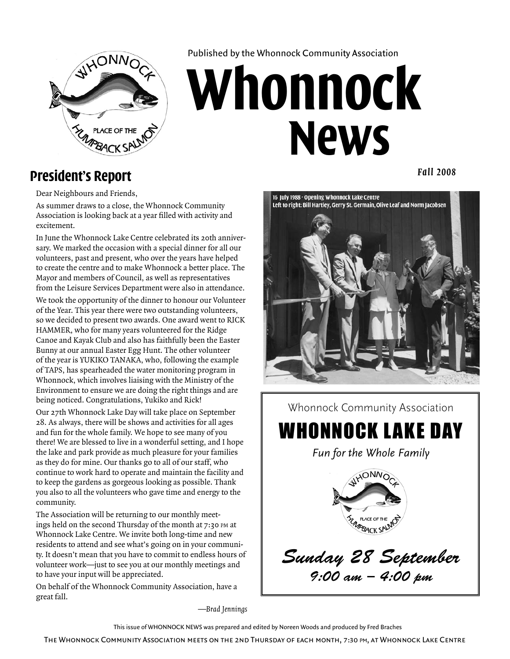

Published by the Whonnock Community Association

# **Whonnock News**

## **President's Report**

*Fall 2008*

Dear Neighbours and Friends,

As summer draws to a close, the Whonnock Community Association is looking back at a year filled with activity and excitement.

In June the Whonnock Lake Centre celebrated its 20th anniversary. We marked the occasion with a special dinner for all our volunteers, past and present, who over the years have helped to create the centre and to make Whonnock a better place. The Mayor and members of Council, as well as representatives from the Leisure Services Department were also in attendance.

We took the opportunity of the dinner to honour our Volunteer of the Year. This year there were two outstanding volunteers, so we decided to present two awards. One award went to RICK Hammer, who for many years volunteered for the Ridge Canoe and Kayak Club and also has faithfully been the Easter Bunny at our annual Easter Egg Hunt. The other volunteer of the year is Yukiko Tanaka, who, following the example of TAPS, has spearheaded the water monitoring program in Whonnock, which involves liaising with the Ministry of the Environment to ensure we are doing the right things and are being noticed. Congratulations, Yukiko and Rick!

Our 27th Whonnock Lake Day will take place on September 28. As always, there will be shows and activities for all ages and fun for the whole family. We hope to see many of you there! We are blessed to live in a wonderful setting, and I hope the lake and park provide as much pleasure for your families as they do for mine. Our thanks go to all of our staff, who continue to work hard to operate and maintain the facility and to keep the gardens as gorgeous looking as possible. Thank you also to all the volunteers who gave time and energy to the community.

The Association will be returning to our monthly meetings held on the second Thursday of the month at 7:30 pm at Whonnock Lake Centre. We invite both long-time and new residents to attend and see what's going on in your community. It doesn't mean that you have to commit to endless hours of volunteer work—just to see you at our monthly meetings and to have your input will be appreciated.

On behalf of the Whonnock Community Association, have a great fall.

—*Brad Jennings*

This issue of Whonnock News was prepared and edited by Noreen Woods and produced by Fred Braches

The Whonnock Community Association meets on the 2nd Thursday of each month, 7:30 pm, at Whonnock Lake Centre



*EXAMPBACK SALMC* PLACE OF THE *Sunday 28 September 9:00 am – 4:00 pm*

Whonnock Lake Day

*Fun for the Whole Family*

ONNO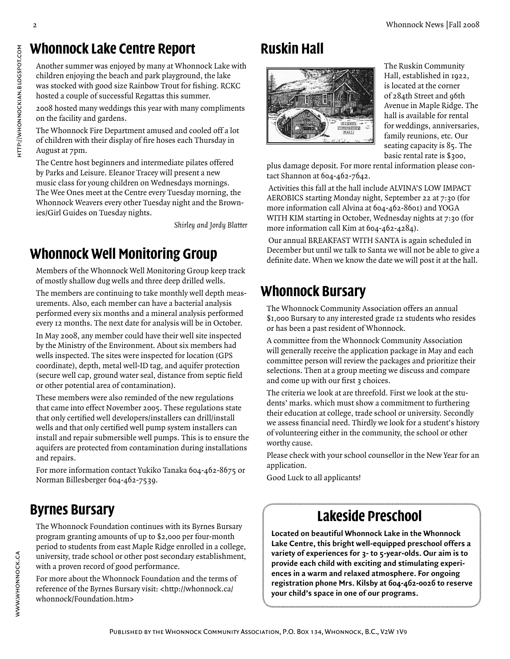## **Whonnock Lake Centre Report**

Another summer was enjoyed by many at Whonnock Lake with children enjoying the beach and park playground, the lake was stocked with good size Rainbow Trout for fishing. RCKC hosted a couple of successful Regattas this summer.

2008 hosted many weddings this year with many compliments on the facility and gardens.

The Whonnock Fire Department amused and cooled off a lot of children with their display of fire hoses each Thursday in August at 7pm.

The Centre host beginners and intermediate pilates offered by Parks and Leisure. Eleanor Tracey will present a new music class for young children on Wednesdays mornings. The Wee Ones meet at the Centre every Tuesday morning, the Whonnock Weavers every other Tuesday night and the Brownies/Girl Guides on Tuesday nights.

*Shirley and Jordy Blatter*

# **Whonnock Well Monitoring Group**

Members of the Whonnock Well Monitoring Group keep track of mostly shallow dug wells and three deep drilled wells.

The members are continuing to take monthly well depth measurements. Also, each member can have a bacterial analysis performed every six months and a mineral analysis performed every 12 months. The next date for analysis will be in October.

In May 2008, any member could have their well site inspected by the Ministry of the Environment. About six members had wells inspected. The sites were inspected for location (GPS coordinate), depth, metal well-ID tag, and aquifer protection (secure well cap, ground water seal, distance from septic field or other potential area of contamination).

These members were also reminded of the new regulations that came into effect November 2005. These regulations state that only certified well developers/installers can drill/install wells and that only certified well pump system installers can install and repair submersible well pumps. This is to ensure the aquifers are protected from contamination during installations and repairs.

For more information contact Yukiko Tanaka 604-462-8675 or Norman Billesberger 604-462-7539.

# **Byrnes Bursary**

The Whonnock Foundation continues with its Byrnes Bursary program granting amounts of up to \$2,000 per four-month period to students from east Maple Ridge enrolled in a college, university, trade school or other post secondary establishment, with a proven record of good performance.

For more about the Whonnock Foundation and the terms of reference of the Byrnes Bursary visit: <http://whonnock.ca/ whonnock/Foundation.htm>

# **Ruskin Hall**



The Ruskin Community Hall, established in 1922, is located at the corner of 284th Street and 96th Avenue in Maple Ridge. The hall is available for rental for weddings, anniversaries, family reunions, etc. Our seating capacity is 85. The basic rental rate is \$300,

plus damage deposit. For more rental information please contact Shannon at 604-462-7642.

Activities this fall at the hall include ALVINA'S LOW IMPACT AEROBICS starting Monday night, September 22 at 7:30 (for more information call Alvina at 604-462-8601) and YOGA WITH KIM starting in October, Wednesday nights at 7:30 (for more information call Kim at 604-462-4284).

Our annual BREAKFAST WITH SANTA is again scheduled in December but until we talk to Santa we will not be able to give a definite date. When we know the date we will post it at the hall.

## **Whonnock Bursary**

The Whonnock Community Association offers an annual \$1,000 Bursary to any interested grade 12 students who resides or has been a past resident of Whonnock.

A committee from the Whonnock Community Association will generally receive the application package in May and each committee person will review the packages and prioritize their selections. Then at a group meeting we discuss and compare and come up with our first 3 choices.

The criteria we look at are threefold. First we look at the students' marks. which must show a commitment to furthering their education at college, trade school or university. Secondly we assess financial need. Thirdly we look for a student's history of volunteering either in the community, the school or other worthy cause.

Please check with your school counsellor in the New Year for an application.

Good Luck to all applicants!

## **Lakeside Preschool**

**Located on beautiful Whonnock Lake in the Whonnock Lake Centre, this bright well-equipped preschool offers a variety of experiences for 3- to 5-year-olds. Our aim is to provide each child with exciting and stimulating experiences in a warm and relaxed atmosphere. For ongoing registration phone Mrs. Kilsby at 604-462-0026 to reserve your child's space in one of our programs.**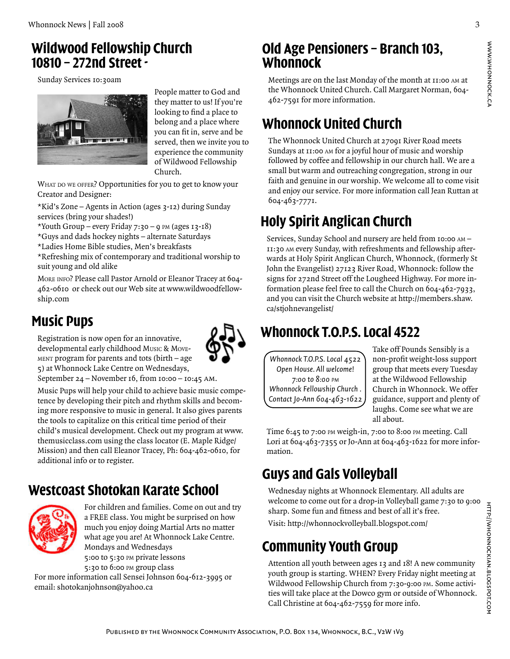#### **Wildwood Fellowship Church 10810 – 272nd Street -**

Sunday Services 10:30am



People matter to God and they matter to us! If you're looking to find a place to belong and a place where you can fit in, serve and be served, then we invite you to experience the community of Wildwood Fellowship Church.

WHAT DO WE OFFER? Opportunities for you to get to know your Creator and Designer:

\*Kid's Zone – Agents in Action (ages 3-12) during Sunday services (bring your shades!)

\*Youth Group – every Friday  $7:30 - 9$  PM (ages  $13 - 18$ )

\*Guys and dads hockey nights – alternate Saturdays

\*Ladies Home Bible studies, Men's breakfasts

\*Refreshing mix of contemporary and traditional worship to suit young and old alike

More info? Please call Pastor Arnold or Eleanor Tracey at 604- 462-0610 or check out our Web site at www.wildwoodfellowship.com

## **Music Pups**

Registration is now open for an innovative, developmental early childhood Music & Movement program for parents and tots (birth – age 5) at Whonnock Lake Centre on Wednesdays,



September 24 – November 16, from 10:00 – 10:45 am.

Music Pups will help your child to achieve basic music competence by developing their pitch and rhythm skills and becoming more responsive to music in general. It also gives parents the tools to capitalize on this critical time period of their child's musical development. Check out my program at www. themusicclass.com using the class locator (E. Maple Ridge/ Mission) and then call Eleanor Tracey, Ph: 604-462-0610, for additional info or to register.

## **Westcoast Shotokan Karate School**



For children and families. Come on out and try a FREE class. You might be surprised on how much you enjoy doing Martial Arts no matter what age you are! At Whonnock Lake Centre. Mondays and Wednesdays 5:00 to 5:30 pm private lessons

5:30 to 6:00 pm group class

For more information call Sensei Johnson 604-612-3995 or email: shotokanjohnson@yahoo.ca

#### **Old Age Pensioners – Branch 103, Whonnock**

Meetings are on the last Monday of the month at 11:00 am at the Whonnock United Church. Call Margaret Norman, 604- 462-7591 for more information.

## **Whonnock United Church**

The Whonnock United Church at 27091 River Road meets Sundays at 11:00 AM for a joyful hour of music and worship followed by coffee and fellowship in our church hall. We are a small but warm and outreaching congregation, strong in our faith and genuine in our worship. We welcome all to come visit and enjoy our service. For more information call Jean Ruttan at 604-463-7771.

# **Holy Spirit Anglican Church**

Services, Sunday School and nursery are held from 10:00 am – 11:30 am every Sunday, with refreshments and fellowship afterwards at Holy Spirit Anglican Church, Whonnock, (formerly St John the Evangelist) 27123 River Road, Whonnock: follow the signs for 272nd Street off the Lougheed Highway. For more information please feel free to call the Church on 604-462-7933, and you can visit the Church website at http://members.shaw. ca/stjohnevangelist/

# **Whonnock T.O.P.S. Local 4522**

*Whonnock T.O.P.S. Local 4522 Open House. All welcome! 7:00 to 8:00 pm Whonnock Fellowship Church . Contact Jo-Ann 604-463-1622* Take off Pounds Sensibly is a non-profit weight-loss support group that meets every Tuesday at the Wildwood Fellowship Church in Whonnock. We offer guidance, support and plenty of laughs. Come see what we are all about.

Time 6:45 to 7:00 pm weigh-in, 7:00 to 8:00 pm meeting. Call Lori at 604-463-7355 or Jo-Ann at 604-463-1622 for more information.

## **Guys and Gals Volleyball**

Wednesday nights at Whonnock Elementary. All adults are welcome to come out for a drop-in Volleyball game 7:30 to 9:00 sharp. Some fun and fitness and best of all it's free.

Visit: http://whonnockvolleyball.blogspot.com/

# **Community Youth Group**

Attention all youth between ages 13 and 18! A new community youth group is starting. WHEN? Every Friday night meeting at Wildwood Fellowship Church from 7:30-9:00 PM. Some activities will take place at the Dowco gym or outside of Whonnock. Call Christine at 604-462-7559 for more info.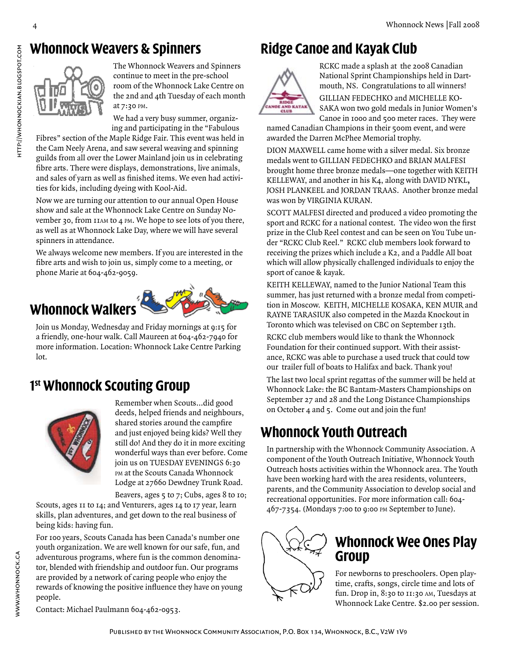## **Whonnock Weavers & Spinners**



The Whonnock Weavers and Spinners continue to meet in the pre-school room of the Whonnock Lake Centre on the 2nd and 4th Tuesday of each month at 7:30 pm.

We had a very busy summer, organizing and participating in the "Fabulous

Fibres" section of the Maple Ridge Fair. This event was held in the Cam Neely Arena, and saw several weaving and spinning guilds from all over the Lower Mainland join us in celebrating fibre arts. There were displays, demonstrations, live animals, and sales of yarn as well as finished items. We even had activities for kids, including dyeing with Kool-Aid.

Now we are turning our attention to our annual Open House show and sale at the Whonnock Lake Centre on Sunday November 30, from 11am to 4 pm. We hope to see lots of you there, as well as at Whonnock Lake Day, where we will have several spinners in attendance.

We always welcome new members. If you are interested in the fibre arts and wish to join us, simply come to a meeting, or phone Marie at 604-462-9059.

# **Whonnock Walkers**



Join us Monday, Wednesday and Friday mornings at 9:15 for a friendly, one-hour walk. Call Maureen at 604-462-7940 for more information. Location: Whonnock Lake Centre Parking lot.

## **1 st Whonnock Scouting Group**



Remember when Scouts…did good deeds, helped friends and neighbours, shared stories around the campfire and just enjoyed being kids? Well they still do! And they do it in more exciting wonderful ways than ever before. Come join us on TUESDAY EVENINGS 6:30 PM at the Scouts Canada Whonnock Lodge at 27660 Dewdney Trunk Road.

Beavers, ages 5 to 7; Cubs, ages 8 to 10; Scouts, ages 11 to 14; and Venturers, ages 14 to 17 year, learn skills, plan adventures, and get down to the real business of being kids: having fun.

For 100 years, Scouts Canada has been Canada's number one youth organization. We are well known for our safe, fun, and adventurous programs, where fun is the common denominator, blended with friendship and outdoor fun. Our programs are provided by a network of caring people who enjoy the rewards of knowing the positive influence they have on young people.

## **Ridge Canoe and Kayak Club**



RCKC made a splash at the 2008 Canadian National Sprint Championships held in Dartmouth, NS. Congratulations to all winners! Gillian Fedechko and Michelle Kosaka won two gold medals in Junior Women's Canoe in 1000 and 500 meter races. They were

named Canadian Champions in their 500m event, and were awarded the Darren McPhee Memorial trophy.

Dion Maxwell came home with a silver medal. Six bronze medals went to GILLIAN FEDECHKO and BRIAN MALFESI brought home three bronze medals—one together with KEITH KELLEWAY, and another in his K<sub>4</sub>, along with DAVID NYKL, JOSH PLANKEEL and JORDAN TRAAS. Another bronze medal was won by Virginia Kuran.

SCOTT MALFESI directed and produced a video promoting the sport and RCKC for a national contest. The video won the first prize in the Club Reel contest and can be seen on You Tube under "RCKC Club Reel." RCKC club members look forward to receiving the prizes which include a K2, and a Paddle All boat which will allow physically challenged individuals to enjoy the sport of canoe & kayak.

KEITH KELLEWAY, named to the Junior National Team this summer, has just returned with a bronze medal from competition in Moscow. KEITH, MICHELLE KOSAKA, KEN MUIR and Rayne Tarasiuk also competed in the Mazda Knockout in Toronto which was televised on CBC on September 13th.

RCKC club members would like to thank the Whonnock Foundation for their continued support. With their assistance, RCKC was able to purchase a used truck that could tow our trailer full of boats to Halifax and back. Thank you!

The last two local sprint regattas of the summer will be held at Whonnock Lake: the BC Bantam-Masters Championships on September 27 and 28 and the Long Distance Championships on October 4 and 5. Come out and join the fun!

## **Whonnock Youth Outreach**

In partnership with the Whonnock Community Association. A component of the Youth Outreach Initiative, Whonnock Youth Outreach hosts activities within the Whonnock area. The Youth have been working hard with the area residents, volunteers, parents, and the Community Association to develop social and recreational opportunities. For more information call: 604- 467-7354. (Mondays 7:00 to 9:00 pm September to June).



### **Whonnock Wee Ones Play Group**

For newborns to preschoolers. Open playtime, crafts, songs, circle time and lots of fun. Drop in, 8:30 to 11:30 AM, Tuesdays at Whonnock Lake Centre. \$2.00 per session.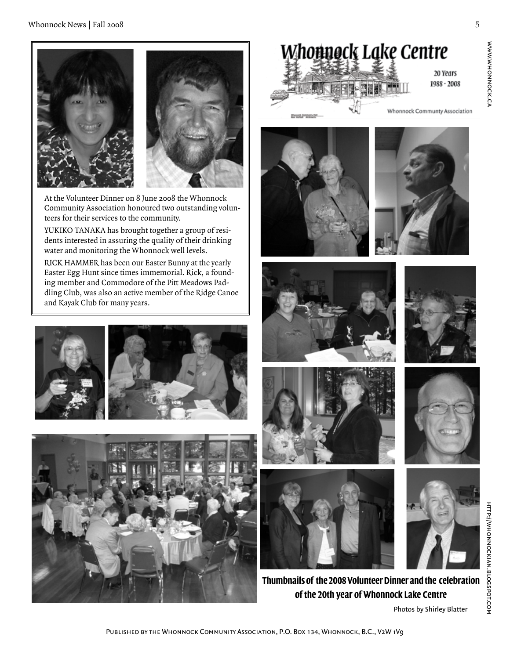20 Years 1988 - 2008 www.whonnock.ca

WWW.WHONNOCK.CA



Whonnock Lake Centre

**Thumbnails of the 2008 Volunteer Dinner and the celebration of the 20th year of Whonnock Lake Centre**

Photos by Shirley Blatter



At the Volunteer Dinner on 8 June 2008 the Whonnock Community Association honoured two outstanding volunteers for their services to the community.

YUKIKO TANAKA has brought together a group of residents interested in assuring the quality of their drinking water and monitoring the Whonnock well levels.

RICK HAMMER has been our Easter Bunny at the yearly Easter Egg Hunt since times immemorial. Rick, a founding member and Commodore of the Pitt Meadows Paddling Club, was also an active member of the Ridge Canoe and Kayak Club for many years.